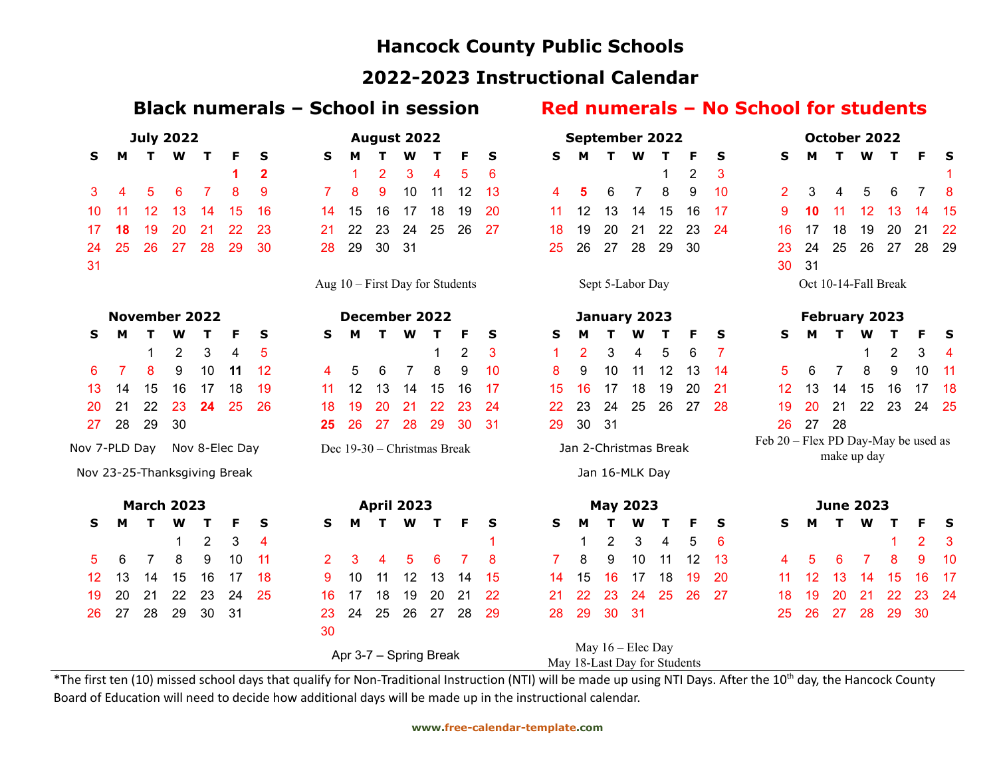## **Hancock County Public Schools**

### **2022-2023 Instructional Calendar**

### **Black numerals – School in session Red numerals – No School for students**

| <b>July 2022</b>             |                |                |    |    | August 2022          |              |                                   |    |                |                | <b>September 2022</b>       |                |    |    |    |                       |                  | October 2022                 |    |    |                                     |    |    |                      |    |                |    |
|------------------------------|----------------|----------------|----|----|----------------------|--------------|-----------------------------------|----|----------------|----------------|-----------------------------|----------------|----|----|----|-----------------------|------------------|------------------------------|----|----|-------------------------------------|----|----|----------------------|----|----------------|----|
| S                            | М              |                | W  | т  | F                    | S            | S                                 | м  |                | w              |                             | F              | S  | S  | м  |                       | W                | т                            | F  | S  | s                                   | М  | т  | W                    | т  | F              | S  |
|                              |                |                |    |    |                      | $\mathbf{2}$ |                                   |    | $\overline{2}$ | 3              | 4                           | 5              | 6  |    |    |                       |                  |                              | 2  | 3  |                                     |    |    |                      |    |                |    |
| 3                            | 4              | 5              | 6  | 7  | 8                    | 9            | 7                                 | 8  | 9              | 10             | 11                          | 12             | 13 | 4  | 5  | 6                     | 7                | 8                            | 9  | 10 | $\overline{2}$                      | 3  | 4  | 5                    | 6  | 7              | 8  |
| 10                           | 11             | 12             | 13 | 14 | 15                   | 16           | 14                                | 15 | 16             | 17             | 18                          | 19             | 20 | 11 | 12 | 13                    | 14               | 15                           | 16 | 17 | 9                                   | 10 | 11 | 12                   | 13 | 14             | 15 |
| 17                           | 18             | 19             | 20 | 21 | 22                   | 23           | 21                                | 22 | 23             | 24             | 25                          | 26             | 27 | 18 | 19 | 20                    | 21               | 22                           | 23 | 24 | 16                                  | 17 | 18 | 19                   | 20 | 21             | 22 |
| 24                           | 25             | 26             | 27 | 28 | 29                   | 30           | 28                                | 29 | 30             | 31             |                             |                |    | 25 | 26 | 27                    | 28               | 29                           | 30 |    | 23                                  | 24 | 25 | 26                   | 27 | 28             | 29 |
| 31                           |                |                |    |    |                      |              |                                   |    |                |                |                             |                |    |    |    |                       |                  |                              |    |    | 30                                  | 31 |    |                      |    |                |    |
|                              |                |                |    |    |                      |              | Aug $10$ – First Day for Students |    |                |                |                             |                |    |    |    | Sept 5-Labor Day      |                  |                              |    |    |                                     |    |    | Oct 10-14-Fall Break |    |                |    |
| <b>November 2022</b>         |                |                |    |    | <b>December 2022</b> |              |                                   |    |                |                | January 2023                |                |    |    |    | February 2023         |                  |                              |    |    |                                     |    |    |                      |    |                |    |
| S                            | м              | т              | w  |    |                      | S            | S                                 | м  | т              | W              |                             | F              | S  | S  | м  |                       |                  |                              | F  | S  | s                                   | м  | т  | w                    | т  | F              | S  |
|                              |                | 1              | 2  | 3  | 4                    | 5            |                                   |    |                |                | 1                           | $\overline{2}$ | 3  |    | 2  | 3                     | 4                | 5                            | 6  |    |                                     |    |    | 1                    | 2  | 3              | 4  |
| 6                            | $\overline{7}$ | 8              | 9  | 10 | 11                   | 12           | 4                                 | 5  | 6              | $\overline{7}$ | 8                           | 9              | 10 | 8  | 9  | 10                    | 11               | 12                           | 13 | 14 | 5                                   | 6  | 7  | 8                    | 9  | 10             | 11 |
| 13                           | 14             | 15             | 16 | 17 | 18                   | 19           | 11                                | 12 | 13             | 14             | 15                          | 16             | 17 | 15 | 16 | 17                    | 18               | 19                           | 20 | 21 | 12                                  | 13 | 14 | 15                   | 16 | 17             | 18 |
| 20                           | 21             | 22             | 23 | 24 | 25                   | 26           | 18                                | 19 | 20             | 21             | 22                          | 23             | 24 | 22 | 23 | 24                    | 25               | 26                           | 27 | 28 | 19                                  | 20 | 21 | 22                   | 23 | 24             | 25 |
| 27                           | 28             | 29             | 30 |    |                      |              | 25                                | 26 | 27             | 28             | 29                          | 30             | 31 | 29 | 30 | 31                    |                  |                              |    |    | 26                                  | 27 | 28 |                      |    |                |    |
| Nov 7-PLD Day                |                |                |    |    | Nov 8-Elec Day       |              |                                   |    |                |                | Dec 19-30 – Christmas Break |                |    |    |    | Jan 2-Christmas Break |                  |                              |    |    | Feb 20 - Flex PD Day-May be used as |    |    | make up day          |    |                |    |
| Nov 23-25-Thanksgiving Break |                |                |    |    |                      |              |                                   |    |                |                |                             |                |    |    |    | Jan 16-MLK Day        |                  |                              |    |    |                                     |    |    |                      |    |                |    |
| <b>March 2023</b>            |                |                |    |    | <b>April 2023</b>    |              |                                   |    |                |                | <b>May 2023</b>             |                |    |    |    |                       | <b>June 2023</b> |                              |    |    |                                     |    |    |                      |    |                |    |
| s                            | м              | т              | W  | т  | F                    | S            | S                                 | м  | т              | W              | т                           | F              | S  | S  | M  |                       | w                | т                            | F  | S  | s                                   | м  | т  | W                    | т  | F              | S  |
|                              |                |                | 1  | 2  | 3                    | 4            |                                   |    |                |                |                             |                |    |    | 1  | 2                     | 3                | 4                            | 5  | 6  |                                     |    |    |                      |    | $\overline{2}$ | 3  |
| 5                            | 6              | $\overline{7}$ | 8  | 9  | 10                   | 11           | $\overline{2}$                    | 3  | 4              | 5              | 6                           | 7              | 8  | 7  | 8  | 9                     | 10               | 11                           | 12 | 13 | 4                                   | 5  | 6  | 7                    | 8  | 9              | 10 |
| 12                           | 13             | 14             | 15 | 16 | 17                   | 18           | 9                                 | 10 | 11             | 12             | 13                          | 14             | 15 | 14 | 15 | 16                    | 17               | 18                           | 19 | 20 | 11                                  | 12 | 13 | 14                   | 15 | 16             | 17 |
| 19                           | 20             | 21             | 22 | 23 | 24                   | 25           | 16                                | 17 | 18             | 19             | 20                          | 21             | 22 | 21 | 22 | 23                    | 24               | 25                           | 26 | 27 | 18                                  | 19 | 20 | 21                   | 22 | 23             | 24 |
| 26                           | 27             | 28             | 29 | 30 | 31                   |              | 23                                | 24 | 25             | 26             | 27                          | 28             | 29 | 28 | 29 | 30                    | 31               |                              |    |    | 25                                  | 26 | 27 | 28                   | 29 | 30             |    |
|                              |                |                |    |    |                      |              | 30                                |    |                |                |                             |                |    |    |    |                       |                  |                              |    |    |                                     |    |    |                      |    |                |    |
|                              |                |                |    |    |                      |              |                                   |    |                |                | Apr 3-7 - Spring Break      |                |    |    |    | May 16 - Elec Day     |                  | May 18-Last Day for Students |    |    |                                     |    |    |                      |    |                |    |

\*The first ten (10) missed school days that qualify for Non-Traditional Instruction (NTI) will be made up using NTI Days. After the 10<sup>th</sup> day, the Hancock County Board of Education will need to decide how additional days will be made up in the instructional calendar.